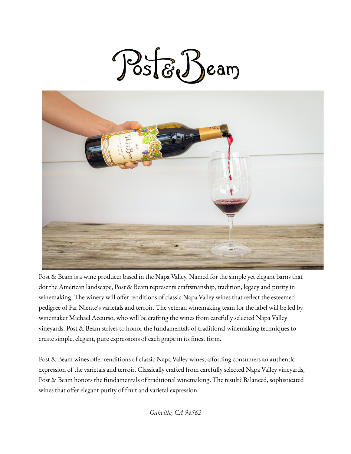Post&Beam



Post & Beam is a wine producer based in the Napa Valley. Named for the simple yet elegant barns that dot the American landscape, Post & Beam represents craftsmanship, tradition, legacy and purity in winemaking. The winery will offer renditions of classic Napa Valley wines that reflect the esteemed pedigree of Far Niente's varietals and terroir. The veteran winemaking team for the label will be led by winemaker Michael Accurso, who will be crafting the wines from carefully selected Napa Valley vineyards. Post & Beam strives to honor the fundamentals of traditional winemaking techniques to create simple, elegant, pure expressions of each grape in its finest form.

Post & Beam wines offer renditions of classic Napa Valley wines, affording consumers an authentic expression of the varietals and terroir. Classically crafted from carefully selected Napa Valley vineyards, Post & Beam honors the fundamentals of traditional winemaking. The result? Balanced, sophisticated wines that offer elegant purity of fruit and varietal expression.

*Oakville, CA 94562*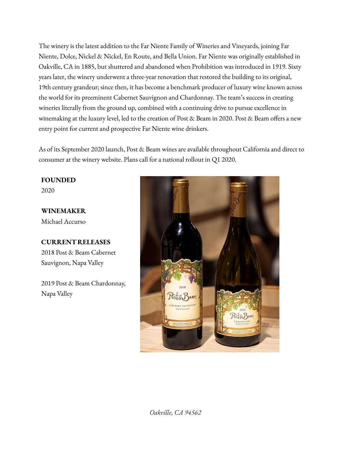The winery is the latest addition to the Far Niente Family of Wineries and Vineyards, joining Far Niente, Dolce, Nickel & Nickel, En Route, and Bella Union. Far Niente was originally established in Oakville, CA in 1885, but shuttered and abandoned when Prohibition was introduced in 1919. Sixty years later, the winery underwent a three-year renovation that restored the building to its original, 19th century grandeur; since then, it has become a benchmark producer of luxury wine known across the world for its preeminent Cabernet Sauvignon and Chardonnay. The team's success in creating wineries literally from the ground up, combined with a continuing drive to pursue excellence in winemaking at the luxury level, led to the creation of Post & Beam in 2020. Post & Beam offers a new entry point for current and prospective Far Niente wine drinkers.

As of its September 2020 launch, Post & Beam wines are available throughout California and direct to consumer at the winery website. Plans call for a national rollout in Q1 2020.

**FOUNDED**

2020

**WINEMAKER** Michael Accurso

**CURRENT RELEASES** 2018 Post & Beam Cabernet Sauvignon, Napa Valley

2019 Post & Beam Chardonnay, Napa Valley



*Oakville, CA 94562*